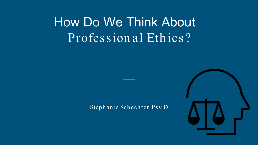# How Do We Think About Profession al Ethics?

#### Steph an ie Sch ech ter, Psy.D.

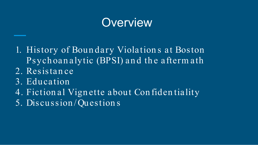# **Overview**

1. History of Boun dary Violation s at Boston Psychoan alytic (BPSI) and the afterm ath

- 2. Resistan ce
- 3. Education
- 4. Fiction al Vign ette about Con fiden tiality
- 5. Discussion /Question s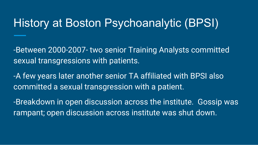## History at Boston Psychoanalytic (BPSI)

-Between 2000-2007- two senior Training Analysts committed sexual transgressions with patients.

-A few years later another senior TA affiliated with BPSI also committed a sexual transgression with a patient.

-Breakdown in open discussion across the institute. Gossip was rampant; open discussion across institute was shut down.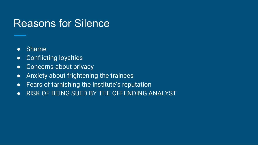#### Reasons for Silence

- Shame
- Conflicting loyalties
- Concerns about privacy
- Anxiety about frightening the trainees
- Fears of tarnishing the Institute's reputation
- RISK OF BEING SUED BY THE OFFENDING ANALYST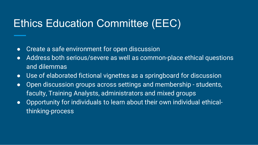## Ethics Education Committee (EEC)

- Create a safe environment for open discussion
- Address both serious/severe as well as common-place ethical questions and dilemmas
- Use of elaborated fictional vignettes as a springboard for discussion
- Open discussion groups across settings and membership students, faculty, Training Analysts, administrators and mixed groups
- Opportunity for individuals to learn about their own individual ethicalthinking-process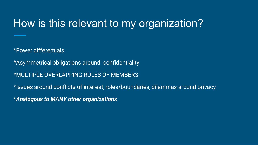## How is this relevant to my organization?

\*Power differentials

\*Asymmetrical obligations around confidentiality

\*MULTIPLE OVERLAPPING ROLES OF MEMBERS

\*Issues around conflicts of interest, roles/boundaries, dilemmas around privacy

\**Analogous to MANY other organizations*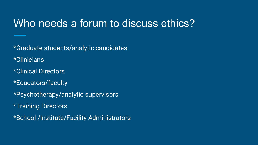#### Who needs a forum to discuss ethics?

\*Graduate students/analytic candidates \*Clinicians \*Clinical Directors \*Educators/faculty \*Psychotherapy/analytic supervisors \*Training Directors \*School /Institute/Facility Administrators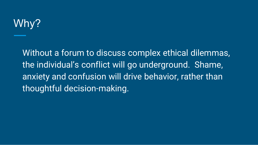# Why?

Without a forum to discuss complex ethical dilemmas, the individual's conflict will go underground. Shame, anxiety and confusion will drive behavior, rather than thoughtful decision-making.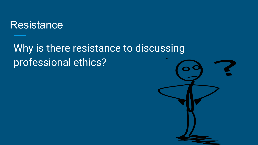#### **Resistance**

## Why is there resistance to discussing professional ethics?

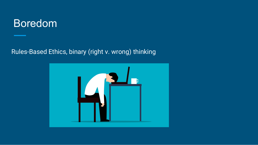#### Boredom

Rules-Based Ethics, binary (right v. wrong) thinking

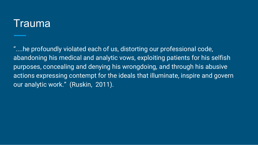#### Trauma

"....he profoundly violated each of us, distorting our professional code, abandoning his medical and analytic vows, exploiting patients for his selfish purposes, concealing and denying his wrongdoing, and through his abusive actions expressing contempt for the ideals that illuminate, inspire and govern our analytic work." (Ruskin, 2011).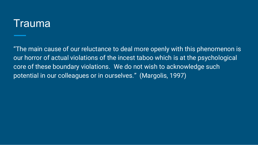#### Trauma

"The main cause of our reluctance to deal more openly with this phenomenon is our horror of actual violations of the incest taboo which is at the psychological core of these boundary violations. We do not wish to acknowledge such potential in our colleagues or in ourselves." (Margolis, 1997)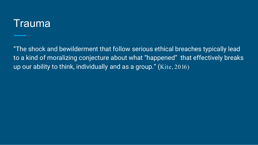#### Trauma

"The shock and bewilderment that follow serious ethical breaches typically lead to a kind of moralizing conjecture about what "happened" that effectively breaks up our ability to think, individually and as a group." (Kite, 2016)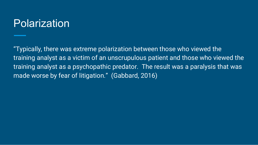## Polarization

"Typically, there was extreme polarization between those who viewed the training analyst as a victim of an unscrupulous patient and those who viewed the training analyst as a psychopathic predator. The result was a paralysis that was made worse by fear of litigation." (Gabbard, 2016)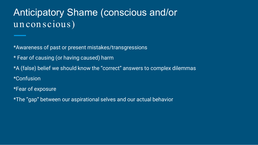#### Anticipatory Shame (conscious and/or unconscious)

\*Awareness of past or present mistakes/transgressions

\* Fear of causing (or having caused) harm

\*A (false) belief we should know the "correct" answers to complex dilemmas \*Confusion

\*Fear of exposure

\*The "gap" between our aspirational selves and our actual behavior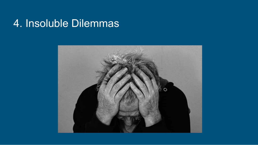#### 4. Insoluble Dilemmas

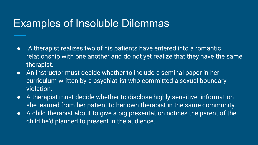#### Examples of Insoluble Dilemmas

- A therapist realizes two of his patients have entered into a romantic relationship with one another and do not yet realize that they have the same therapist.
- An instructor must decide whether to include a seminal paper in her curriculum written by a psychiatrist who committed a sexual boundary violation.
- A therapist must decide whether to disclose highly sensitive information she learned from her patient to her own therapist in the same community.
- A child therapist about to give a big presentation notices the parent of the child he'd planned to present in the audience.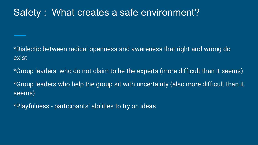#### Safety : What creates a safe environment?

\*Dialectic between radical openness and awareness that right and wrong do exist

\*Group leaders who do not claim to be the experts (more difficult than it seems) \*Group leaders who help the group sit with uncertainty (also more difficult than it seems)

\*Playfulness - participants' abilities to try on ideas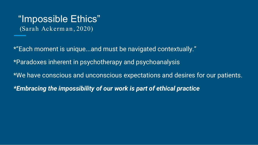#### "Impossible Ethics" (Sarah Ack erm an , 2020)

\*"Each moment is unique...and must be navigated contextually." \*Paradoxes inherent in psychotherapy and psychoanalysis \*We have conscious and unconscious expectations and desires for our patients. *\*Embracing the impossibility of our work is part of ethical practice*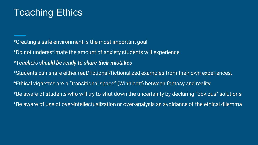#### Teaching Ethics

\*Creating a safe environment is the most important goal \*Do not underestimate the amount of anxiety students will experience *\*Teachers should be ready to share their mistakes* \*Students can share either real/fictional/fictionalized examples from their own experiences. \*Ethical vignettes are a "transitional space" (Winnicott) between fantasy and reality \*Be aware of students who will try to shut down the uncertainty by declaring "obvious" solutions \*Be aware of use of over-intellectualization or over-analysis as avoidance of the ethical dilemma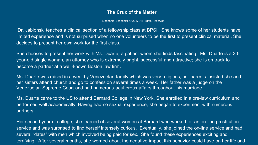#### **The Crux of the Matter**

Stephanie Schechter © 2017 All Rights Reserved

Dr. Jablonski teaches a clinical section of a fellowship class at BPSI. She knows some of her students have limited experience and is not surprised when no one volunteers to be the first to present clinical material. She decides to present her own work for the first class.

She chooses to present her work with Ms. Duarte, a patient whom she finds fascinating. Ms. Duarte is a 30 year-old single woman, an attorney who is extremely bright, successful and attractive; she is on track to become a partner at a well-known Boston law firm.

Ms. Duarte was raised in a wealthy Venezuelan family which was very religious; her parents insisted she and her sisters attend church and go to confession several times a week. Her father was a judge on the Venezuelan Supreme Court and had numerous adulterous affairs throughout his marriage.

Ms. Duarte came to the US to attend Barnard College in New York. She enrolled in a pre-law curriculum and performed well academically. Having had no sexual experience, she began to experiment with numerous partners.

Her second year of college, she learned of several women at Barnard who worked for an on-line prostitution service and was surprised to find herself intensely curious. Eventually, she joined the on-line service and had several "dates" with men which involved being paid for sex. She found these experiences exciting and terrifying. After several months, she worried about the negative impact this behavior could have on her life and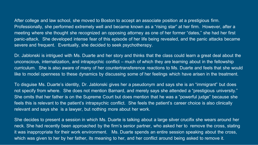After college and law school, she moved to Boston to accept an associate position at a prestigious firm. Professionally, she performed extremely well and became known as a "rising star" at her firm. However, after a meeting where she thought she recognized an opposing attorney as one of her former "dates," she had her first panic-attack. She developed intense fear of this episode of her life being revealed, and the panic attacks became severe and frequent. Eventually, she decided to seek psychotherapy.

Dr. Jablonski is intrigued with Ms. Duarte and her story and thinks that the class could learn a great deal about the unconscious, internalization, and intrapsychic conflict – much of which they are learning about in the fellowship curriculum. She is also aware of many of her countertransference reactions to Ms. Duarte and feels that she would like to model openness to these dynamics by discussing some of her feelings which have arisen in the treatment.

To disguise Ms. Duarte's identity, Dr. Jablonski gives her a pseudonym and says she is an "immigrant" but does not specify from where. She does not mention Barnard, and merely says she attended a "prestigious university." She omits that her father is on the Supreme Court but does mention that he was a "powerful judge" because she feels this is relevant to the patient's intrapsychic conflict. She feels the patient's career choice is also clinically relevant and says she is a lawyer, but nothing more about her work.

She decides to present a session in which Ms. Duarte is talking about a large silver crucifix she wears around her neck. She had recently been approached by the firm's senior partner, who asked her to remove the cross, stating it was inappropriate for their work environment. Ms. Duarte spends an entire session speaking about the cross, which was given to her by her father, its meaning to her, and her conflict around being asked to remove it.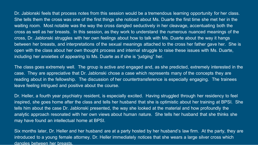Dr. Jablonski feels that process notes from this session would be a tremendous learning opportunity for her class. She tells them the cross was one of the first things she noticed about Ms. Duarte the first time she met her in the waiting room. Most notable was the way the cross dangled seductively in her cleavage, accentuating both the cross as well as her breasts. In this session, as they work to understand the numerous nuanced meanings of the cross, Dr. Jablonski struggles with her own feelings about how to talk with Ms. Duarte about the way it hangs between her breasts, and interpretations of the sexual meanings attached to the cross her father gave her. She is open with the class about her own thought process and internal struggle to raise these issues with Ms. Duarte, including her anxieties of appearing to Ms. Duarte as if she is "judging" her.

The class goes extremely well. The group is active and engaged and, as she predicted, extremely interested in the case. They are appreciative that Dr. Jablonski chose a case which represents many of the concepts they are reading about in the fellowship. The discussion of her countertransference is especially engaging. The trainees leave feeling intrigued and positive about the course.

Dr. Heller, a fourth year psychiatry resident, is especially excited. Having struggled through her residency to feel inspired, she goes home after the class and tells her husband that she is optimistic about her training at BPSI. She tells him about the case Dr. Jablonski presented, the way she looked at the material and how profoundly the analytic approach resonated with her own views about human nature. She tells her husband that she thinks she may have found an intellectual home at BPSI.

Six months later, Dr. Heller and her husband are at a party hosted by her husband's law firm. At the party, they are introduced to a young female attorney. Dr. Heller immediately notices that she wears a large silver cross which dangles between her breasts.